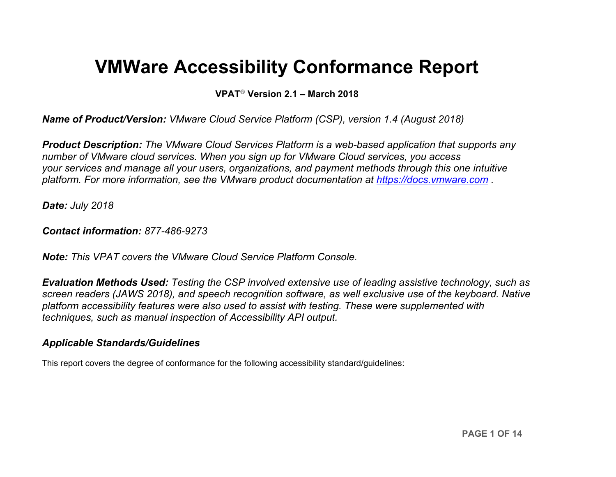# **VMWare Accessibility Conformance Report**

**VPAT**® **Version 2.1 – March 2018**

*Name of Product/Version: VMware Cloud Service Platform (CSP), version 1.4 (August 2018)*

*Product Description: The VMware Cloud Services Platform is a web-based application that supports any number of VMware cloud services. When you sign up for VMware Cloud services, you access your services and manage all your users, organizations, and payment methods through this one intuitive platform. For more information, see the VMware product documentation at [https://docs.vmware.com](https://docs.vmware.com/) .*

*Date: July 2018*

*Contact information: 877-486-9273*

*Note: This VPAT covers the VMware Cloud Service Platform Console.*

*Evaluation Methods Used: Testing the CSP involved extensive use of leading assistive technology, such as screen readers (JAWS 2018), and speech recognition software, as well exclusive use of the keyboard. Native platform accessibility features were also used to assist with testing. These were supplemented with techniques, such as manual inspection of Accessibility API output.*

#### *Applicable Standards/Guidelines*

This report covers the degree of conformance for the following accessibility standard/guidelines: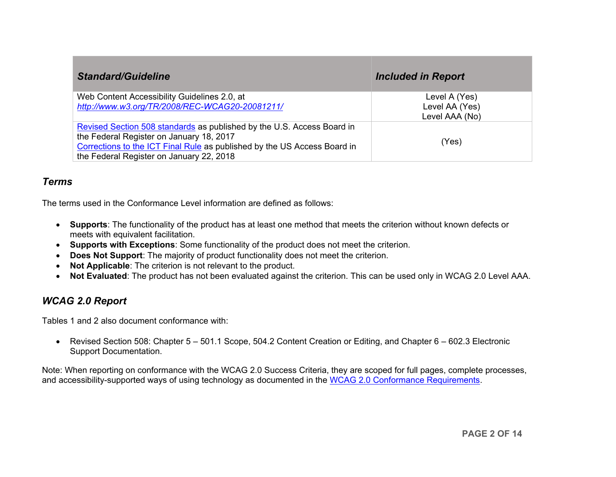| <b>Standard/Guideline</b>                                                                                                                                                                                                                  | <b>Included in Report</b>                         |
|--------------------------------------------------------------------------------------------------------------------------------------------------------------------------------------------------------------------------------------------|---------------------------------------------------|
| Web Content Accessibility Guidelines 2.0, at<br>http://www.w3.org/TR/2008/REC-WCAG20-20081211/                                                                                                                                             | Level A (Yes)<br>Level AA (Yes)<br>Level AAA (No) |
| Revised Section 508 standards as published by the U.S. Access Board in<br>the Federal Register on January 18, 2017<br>Corrections to the ICT Final Rule as published by the US Access Board in<br>the Federal Register on January 22, 2018 | (Yes)                                             |

#### *Terms*

The terms used in the Conformance Level information are defined as follows:

- **Supports**: The functionality of the product has at least one method that meets the criterion without known defects or meets with equivalent facilitation.
- **Supports with Exceptions**: Some functionality of the product does not meet the criterion.
- **Does Not Support**: The majority of product functionality does not meet the criterion.
- **Not Applicable**: The criterion is not relevant to the product.
- **Not Evaluated**: The product has not been evaluated against the criterion. This can be used only in WCAG 2.0 Level AAA.

### *WCAG 2.0 Report*

Tables 1 and 2 also document conformance with:

• Revised Section 508: Chapter 5 – 501.1 Scope, 504.2 Content Creation or Editing, and Chapter 6 – 602.3 Electronic Support Documentation.

Note: When reporting on conformance with the WCAG 2.0 Success Criteria, they are scoped for full pages, complete processes, and accessibility-supported ways of using technology as documented in the [WCAG 2.0 Conformance Requirements.](https://www.w3.org/TR/WCAG20/#conformance-reqs)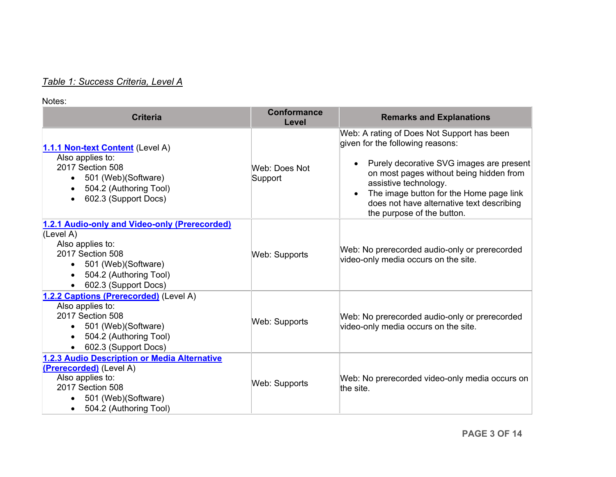# *Table 1: Success Criteria, Level A*

#### Notes:

| <b>Criteria</b>                                                                                                                                                                           | <b>Conformance</b><br>Level | <b>Remarks and Explanations</b>                                                                                                                                                                                                                                                                                      |
|-------------------------------------------------------------------------------------------------------------------------------------------------------------------------------------------|-----------------------------|----------------------------------------------------------------------------------------------------------------------------------------------------------------------------------------------------------------------------------------------------------------------------------------------------------------------|
| 1.1.1 Non-text Content (Level A)<br>Also applies to:<br>2017 Section 508<br>501 (Web) (Software)<br>$\bullet$<br>504.2 (Authoring Tool)<br>602.3 (Support Docs)                           | Web: Does Not<br>Support    | Web: A rating of Does Not Support has been<br>given for the following reasons:<br>Purely decorative SVG images are present<br>on most pages without being hidden from<br>assistive technology.<br>The image button for the Home page link<br>does not have alternative text describing<br>the purpose of the button. |
| 1.2.1 Audio-only and Video-only (Prerecorded)<br>(Level A)<br>Also applies to:<br>2017 Section 508<br>501 (Web) (Software)<br>$\bullet$<br>504.2 (Authoring Tool)<br>602.3 (Support Docs) | Web: Supports               | Web: No prerecorded audio-only or prerecorded<br>video-only media occurs on the site.                                                                                                                                                                                                                                |
| 1.2.2 Captions (Prerecorded) (Level A)<br>Also applies to:<br>2017 Section 508<br>501 (Web)(Software)<br>$\bullet$<br>504.2 (Authoring Tool)<br>602.3 (Support Docs)                      | <b>Web: Supports</b>        | Web: No prerecorded audio-only or prerecorded<br>video-only media occurs on the site.                                                                                                                                                                                                                                |
| 1.2.3 Audio Description or Media Alternative<br>(Prerecorded) (Level A)<br>Also applies to:<br>2017 Section 508<br>501 (Web) (Software)<br>504.2 (Authoring Tool)                         | Web: Supports               | Web: No prerecorded video-only media occurs on<br>the site.                                                                                                                                                                                                                                                          |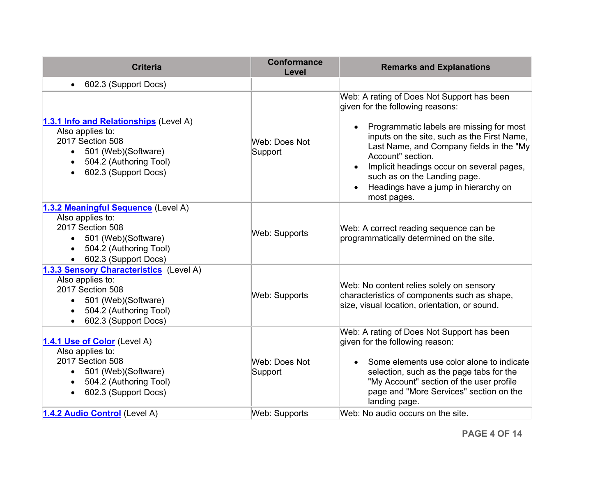| <b>Criteria</b>                                                                                                                                                   | <b>Conformance</b><br>Level | <b>Remarks and Explanations</b>                                                                                                                                                                                                                                                                                                                                                |
|-------------------------------------------------------------------------------------------------------------------------------------------------------------------|-----------------------------|--------------------------------------------------------------------------------------------------------------------------------------------------------------------------------------------------------------------------------------------------------------------------------------------------------------------------------------------------------------------------------|
| 602.3 (Support Docs)                                                                                                                                              |                             |                                                                                                                                                                                                                                                                                                                                                                                |
| 1.3.1 Info and Relationships (Level A)<br>Also applies to:<br>2017 Section 508<br>• 501 (Web) (Software)<br>504.2 (Authoring Tool)<br>602.3 (Support Docs)        | Web: Does Not<br>Support    | Web: A rating of Does Not Support has been<br>given for the following reasons:<br>Programmatic labels are missing for most<br>inputs on the site, such as the First Name,<br>Last Name, and Company fields in the "My<br>Account" section.<br>Implicit headings occur on several pages,<br>such as on the Landing page.<br>Headings have a jump in hierarchy on<br>most pages. |
| 1.3.2 Meaningful Sequence (Level A)<br>Also applies to:<br>2017 Section 508<br>501 (Web)(Software)<br>$\bullet$<br>504.2 (Authoring Tool)<br>602.3 (Support Docs) | Web: Supports               | Web: A correct reading sequence can be<br>programmatically determined on the site.                                                                                                                                                                                                                                                                                             |
| 1.3.3 Sensory Characteristics (Level A)<br>Also applies to:<br>2017 Section 508<br>501 (Web)(Software)<br>504.2 (Authoring Tool)<br>602.3 (Support Docs)          | <b>Web: Supports</b>        | Web: No content relies solely on sensory<br>characteristics of components such as shape,<br>size, visual location, orientation, or sound.                                                                                                                                                                                                                                      |
| 1.4.1 Use of Color (Level A)<br>Also applies to:<br>2017 Section 508<br>• 501 (Web) (Software)<br>504.2 (Authoring Tool)<br>602.3 (Support Docs)<br>$\bullet$     | Web: Does Not<br>Support    | Web: A rating of Does Not Support has been<br>given for the following reason:<br>Some elements use color alone to indicate<br>selection, such as the page tabs for the<br>"My Account" section of the user profile<br>page and "More Services" section on the<br>landing page.                                                                                                 |
| 1.4.2 Audio Control (Level A)                                                                                                                                     | Web: Supports               | Web: No audio occurs on the site.                                                                                                                                                                                                                                                                                                                                              |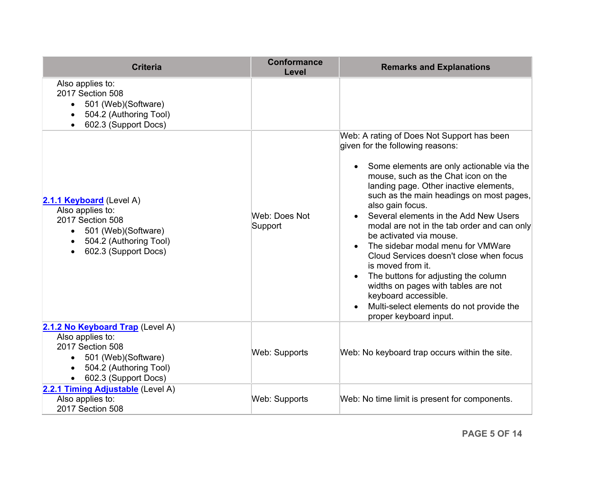<span id="page-4-0"></span>

| <b>Criteria</b>                                                                                                                                        | <b>Conformance</b><br>Level | <b>Remarks and Explanations</b>                                                                                                                                                                                                                                                                                                                                                                                                                                                                                                                                                                                                                                                   |
|--------------------------------------------------------------------------------------------------------------------------------------------------------|-----------------------------|-----------------------------------------------------------------------------------------------------------------------------------------------------------------------------------------------------------------------------------------------------------------------------------------------------------------------------------------------------------------------------------------------------------------------------------------------------------------------------------------------------------------------------------------------------------------------------------------------------------------------------------------------------------------------------------|
| Also applies to:<br>2017 Section 508<br>501 (Web) (Software)<br>$\bullet$<br>504.2 (Authoring Tool)<br>602.3 (Support Docs)                            |                             |                                                                                                                                                                                                                                                                                                                                                                                                                                                                                                                                                                                                                                                                                   |
| 2.1.1 Keyboard (Level A)<br>Also applies to:<br>2017 Section 508<br>501 (Web)(Software)<br>$\bullet$<br>504.2 (Authoring Tool)<br>602.3 (Support Docs) | Web: Does Not<br>Support    | Web: A rating of Does Not Support has been<br>given for the following reasons:<br>Some elements are only actionable via the<br>mouse, such as the Chat icon on the<br>landing page. Other inactive elements,<br>such as the main headings on most pages,<br>also gain focus.<br>Several elements in the Add New Users<br>modal are not in the tab order and can only<br>be activated via mouse.<br>The sidebar modal menu for VMWare<br>Cloud Services doesn't close when focus<br>is moved from it.<br>The buttons for adjusting the column<br>widths on pages with tables are not<br>keyboard accessible.<br>Multi-select elements do not provide the<br>proper keyboard input. |
| 2.1.2 No Keyboard Trap (Level A)<br>Also applies to:<br>2017 Section 508<br>501 (Web) (Software)<br>504.2 (Authoring Tool)<br>602.3 (Support Docs)     | <b>Web: Supports</b>        | Web: No keyboard trap occurs within the site.                                                                                                                                                                                                                                                                                                                                                                                                                                                                                                                                                                                                                                     |
| 2.2.1 Timing Adjustable (Level A)<br>Also applies to:<br>2017 Section 508                                                                              | Web: Supports               | Web: No time limit is present for components.                                                                                                                                                                                                                                                                                                                                                                                                                                                                                                                                                                                                                                     |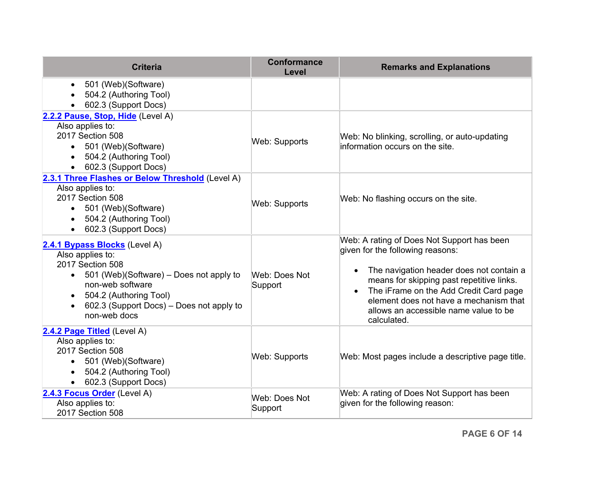| <b>Criteria</b>                                                                                                                                                                                                                                                   | <b>Conformance</b><br>Level | <b>Remarks and Explanations</b>                                                                                                                                                                                                                                                                                     |
|-------------------------------------------------------------------------------------------------------------------------------------------------------------------------------------------------------------------------------------------------------------------|-----------------------------|---------------------------------------------------------------------------------------------------------------------------------------------------------------------------------------------------------------------------------------------------------------------------------------------------------------------|
| 501 (Web)(Software)<br>$\bullet$<br>504.2 (Authoring Tool)<br>602.3 (Support Docs)                                                                                                                                                                                |                             |                                                                                                                                                                                                                                                                                                                     |
| 2.2.2 Pause, Stop, Hide (Level A)<br>Also applies to:<br>2017 Section 508<br>501 (Web)(Software)<br>504.2 (Authoring Tool)<br>602.3 (Support Docs)                                                                                                                | Web: Supports               | Web: No blinking, scrolling, or auto-updating<br>information occurs on the site.                                                                                                                                                                                                                                    |
| 2.3.1 Three Flashes or Below Threshold (Level A)<br>Also applies to:<br>2017 Section 508<br>501 (Web)(Software)<br>$\bullet$<br>504.2 (Authoring Tool)<br>602.3 (Support Docs)                                                                                    | Web: Supports               | Web: No flashing occurs on the site.                                                                                                                                                                                                                                                                                |
| 2.4.1 Bypass Blocks (Level A)<br>Also applies to:<br>2017 Section 508<br>501 (Web)(Software) – Does not apply to<br>$\bullet$<br>non-web software<br>504.2 (Authoring Tool)<br>$\bullet$<br>602.3 (Support Docs) – Does not apply to<br>$\bullet$<br>non-web docs | Web: Does Not<br>Support    | Web: A rating of Does Not Support has been<br>given for the following reasons:<br>The navigation header does not contain a<br>means for skipping past repetitive links.<br>The iFrame on the Add Credit Card page<br>element does not have a mechanism that<br>allows an accessible name value to be<br>calculated. |
| 2.4.2 Page Titled (Level A)<br>Also applies to:<br>2017 Section 508<br>501 (Web) (Software)<br>504.2 (Authoring Tool)<br>602.3 (Support Docs)                                                                                                                     | Web: Supports               | Web: Most pages include a descriptive page title.                                                                                                                                                                                                                                                                   |
| 2.4.3 Focus Order (Level A)<br>Also applies to:<br>2017 Section 508                                                                                                                                                                                               | Web: Does Not<br>Support    | Web: A rating of Does Not Support has been<br>given for the following reason:                                                                                                                                                                                                                                       |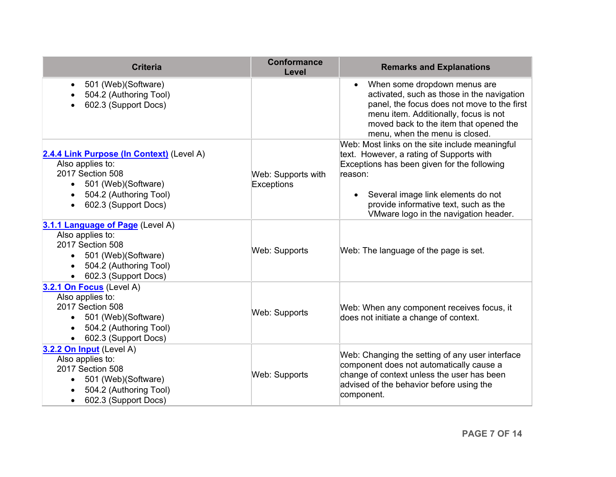| <b>Criteria</b>                                                                                                                                                         | <b>Conformance</b><br>Level      | <b>Remarks and Explanations</b>                                                                                                                                                                                                                                              |
|-------------------------------------------------------------------------------------------------------------------------------------------------------------------------|----------------------------------|------------------------------------------------------------------------------------------------------------------------------------------------------------------------------------------------------------------------------------------------------------------------------|
| 501 (Web)(Software)<br>$\bullet$<br>504.2 (Authoring Tool)<br>602.3 (Support Docs)                                                                                      |                                  | When some dropdown menus are<br>activated, such as those in the navigation<br>panel, the focus does not move to the first<br>menu item. Additionally, focus is not<br>moved back to the item that opened the<br>menu, when the menu is closed.                               |
| 2.4.4 Link Purpose (In Context) (Level A)<br>Also applies to:<br>2017 Section 508<br>501 (Web)(Software)<br>$\bullet$<br>504.2 (Authoring Tool)<br>602.3 (Support Docs) | Web: Supports with<br>Exceptions | Web: Most links on the site include meaningful<br>text. However, a rating of Supports with<br>Exceptions has been given for the following<br>reason:<br>Several image link elements do not<br>provide informative text, such as the<br>VMware logo in the navigation header. |
| 3.1.1 Language of Page (Level A)<br>Also applies to:<br>2017 Section 508<br>501 (Web)(Software)<br>$\bullet$<br>504.2 (Authoring Tool)<br>602.3 (Support Docs)          | Web: Supports                    | Web: The language of the page is set.                                                                                                                                                                                                                                        |
| 3.2.1 On Focus (Level A)<br>Also applies to:<br>2017 Section 508<br>501 (Web)(Software)<br>504.2 (Authoring Tool)<br>$\bullet$<br>602.3 (Support Docs)                  | <b>Web: Supports</b>             | Web: When any component receives focus, it<br>does not initiate a change of context.                                                                                                                                                                                         |
| 3.2.2 On Input (Level A)<br>Also applies to:<br>2017 Section 508<br>501 (Web)(Software)<br>504.2 (Authoring Tool)<br>602.3 (Support Docs)                               | Web: Supports                    | Web: Changing the setting of any user interface<br>component does not automatically cause a<br>change of context unless the user has been<br>advised of the behavior before using the<br>component.                                                                          |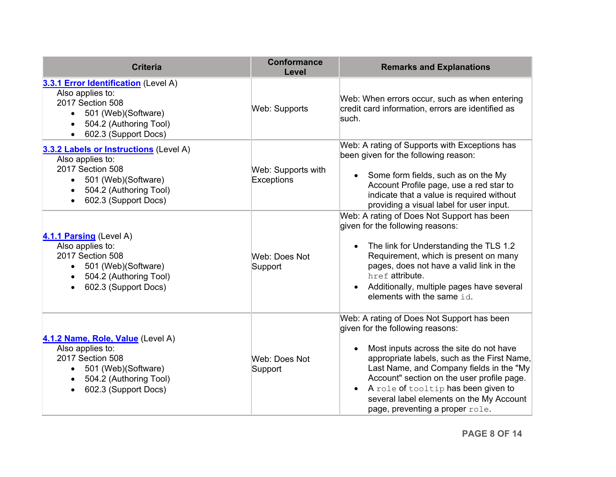<span id="page-7-0"></span>

| <b>Criteria</b>                                                                                                                                                         | <b>Conformance</b><br>Level      | <b>Remarks and Explanations</b>                                                                                                                                                                                                                                                                                                                                                          |
|-------------------------------------------------------------------------------------------------------------------------------------------------------------------------|----------------------------------|------------------------------------------------------------------------------------------------------------------------------------------------------------------------------------------------------------------------------------------------------------------------------------------------------------------------------------------------------------------------------------------|
| 3.3.1 Error Identification (Level A)<br>Also applies to:<br>2017 Section 508<br>501 (Web)(Software)<br>504.2 (Authoring Tool)<br>602.3 (Support Docs)                   | Web: Supports                    | Web: When errors occur, such as when entering<br>credit card information, errors are identified as<br>such.                                                                                                                                                                                                                                                                              |
| 3.3.2 Labels or Instructions (Level A)<br>Also applies to:<br>2017 Section 508<br>• 501 (Web) (Software)<br>504.2 (Authoring Tool)<br>$\bullet$<br>602.3 (Support Docs) | Web: Supports with<br>Exceptions | Web: A rating of Supports with Exceptions has<br>been given for the following reason:<br>• Some form fields, such as on the My<br>Account Profile page, use a red star to<br>indicate that a value is required without<br>providing a visual label for user input.                                                                                                                       |
| 4.1.1 Parsing (Level A)<br>Also applies to:<br>2017 Section 508<br>• 501 (Web)(Software)<br>504.2 (Authoring Tool)<br>$\bullet$<br>602.3 (Support Docs)                 | Web: Does Not<br>Support         | Web: A rating of Does Not Support has been<br>given for the following reasons:<br>The link for Understanding the TLS 1.2<br>Requirement, which is present on many<br>pages, does not have a valid link in the<br>href attribute.<br>Additionally, multiple pages have several<br>elements with the same id.                                                                              |
| 4.1.2 Name, Role, Value (Level A)<br>Also applies to:<br>2017 Section 508<br>501 (Web)(Software)<br>504.2 (Authoring Tool)<br>602.3 (Support Docs)                      | Web: Does Not<br>Support         | Web: A rating of Does Not Support has been<br>given for the following reasons:<br>Most inputs across the site do not have<br>appropriate labels, such as the First Name,<br>Last Name, and Company fields in the "My<br>Account" section on the user profile page.<br>A role of tooltip has been given to<br>several label elements on the My Account<br>page, preventing a proper role. |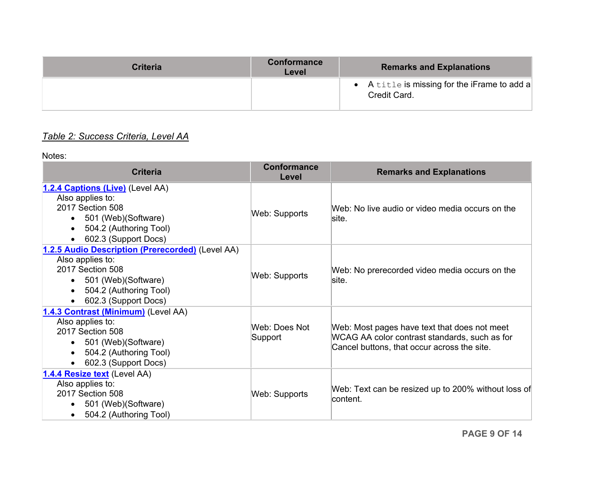| Criteria | Conformance<br>Level | <b>Remarks and Explanations</b>                              |
|----------|----------------------|--------------------------------------------------------------|
|          |                      | • A title is missing for the iFrame to add a<br>Credit Card. |

# *Table 2: Success Criteria, Level AA*

Notes:

| <b>Criteria</b>                                                                                                                                                                 | <b>Conformance</b><br>Level | <b>Remarks and Explanations</b>                                                                                                              |
|---------------------------------------------------------------------------------------------------------------------------------------------------------------------------------|-----------------------------|----------------------------------------------------------------------------------------------------------------------------------------------|
| 1.2.4 Captions (Live) (Level AA)<br>Also applies to:<br>2017 Section 508<br>501 (Web) (Software)<br>504.2 (Authoring Tool)<br>$\bullet$<br>602.3 (Support Docs)                 | Web: Supports               | Web: No live audio or video media occurs on the<br>lsite.                                                                                    |
| 1.2.5 Audio Description (Prerecorded) (Level AA)<br>Also applies to:<br>2017 Section 508<br>501 (Web) (Software)<br>504.2 (Authoring Tool)<br>$\bullet$<br>602.3 (Support Docs) | Web: Supports               | Web: No prerecorded video media occurs on the<br>site.                                                                                       |
| 1.4.3 Contrast (Minimum) (Level AA)<br>Also applies to:<br>2017 Section 508<br>501 (Web) (Software)<br>504.2 (Authoring Tool)<br>$\bullet$<br>602.3 (Support Docs)              | Web: Does Not<br>Support    | Web: Most pages have text that does not meet<br>WCAG AA color contrast standards, such as for<br>Cancel buttons, that occur across the site. |
| 1.4.4 Resize text (Level AA)<br>Also applies to:<br>2017 Section 508<br>501 (Web) (Software)<br>504.2 (Authoring Tool)                                                          | Web: Supports               | Web: Text can be resized up to 200% without loss of<br>lcontent.                                                                             |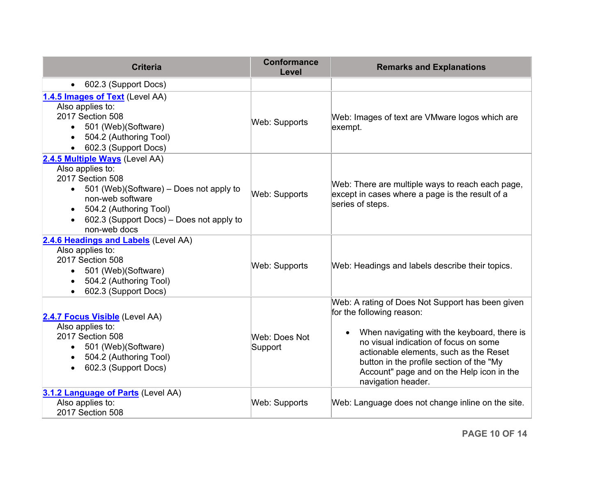| <b>Criteria</b>                                                                                                                                                                                                                                       | <b>Conformance</b><br>Level | <b>Remarks and Explanations</b>                                                                                                                                                                                                                                                                                                |
|-------------------------------------------------------------------------------------------------------------------------------------------------------------------------------------------------------------------------------------------------------|-----------------------------|--------------------------------------------------------------------------------------------------------------------------------------------------------------------------------------------------------------------------------------------------------------------------------------------------------------------------------|
| 602.3 (Support Docs)                                                                                                                                                                                                                                  |                             |                                                                                                                                                                                                                                                                                                                                |
| 1.4.5 Images of Text (Level AA)<br>Also applies to:<br>2017 Section 508<br>501 (Web)(Software)<br>$\bullet$<br>504.2 (Authoring Tool)<br>602.3 (Support Docs)                                                                                         | Web: Supports               | Web: Images of text are VMware logos which are<br>exempt.                                                                                                                                                                                                                                                                      |
| 2.4.5 Multiple Ways (Level AA)<br>Also applies to:<br>2017 Section 508<br>501 (Web)(Software) – Does not apply to<br>$\bullet$<br>non-web software<br>504.2 (Authoring Tool)<br>$\bullet$<br>602.3 (Support Docs) – Does not apply to<br>non-web docs | Web: Supports               | Web: There are multiple ways to reach each page,<br>except in cases where a page is the result of a<br>series of steps.                                                                                                                                                                                                        |
| 2.4.6 Headings and Labels (Level AA)<br>Also applies to:<br>2017 Section 508<br>501 (Web)(Software)<br>$\bullet$<br>504.2 (Authoring Tool)<br>602.3 (Support Docs)                                                                                    | Web: Supports               | Web: Headings and labels describe their topics.                                                                                                                                                                                                                                                                                |
| 2.4.7 Focus Visible (Level AA)<br>Also applies to:<br>2017 Section 508<br>501 (Web)(Software)<br>$\bullet$<br>504.2 (Authoring Tool)<br>$\bullet$<br>602.3 (Support Docs)<br>$\bullet$                                                                | Web: Does Not<br>Support    | Web: A rating of Does Not Support has been given<br>for the following reason:<br>When navigating with the keyboard, there is<br>no visual indication of focus on some<br>actionable elements, such as the Reset<br>button in the profile section of the "My<br>Account" page and on the Help icon in the<br>navigation header. |
| 3.1.2 Language of Parts (Level AA)<br>Also applies to:<br>2017 Section 508                                                                                                                                                                            | Web: Supports               | Web: Language does not change inline on the site.                                                                                                                                                                                                                                                                              |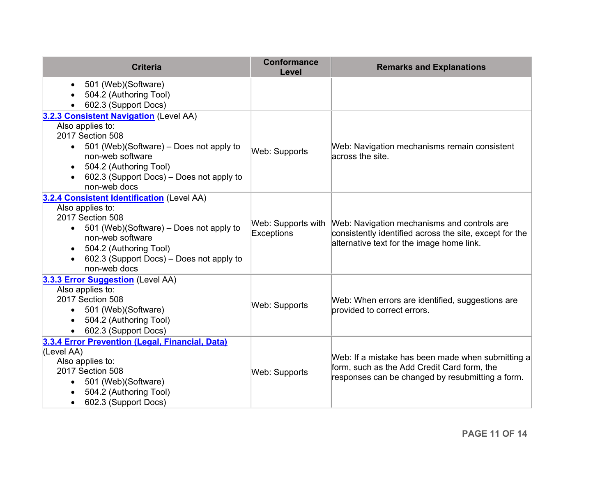| <b>Criteria</b>                                                | <b>Conformance</b><br>Level | <b>Remarks and Explanations</b>                         |
|----------------------------------------------------------------|-----------------------------|---------------------------------------------------------|
| 501 (Web)(Software)<br>$\bullet$                               |                             |                                                         |
| 504.2 (Authoring Tool)                                         |                             |                                                         |
| 602.3 (Support Docs)                                           |                             |                                                         |
| 3.2.3 Consistent Navigation (Level AA)                         |                             |                                                         |
| Also applies to:                                               |                             |                                                         |
| 2017 Section 508                                               |                             |                                                         |
| 501 (Web)(Software) – Does not apply to                        | Web: Supports               | Web: Navigation mechanisms remain consistent            |
| non-web software                                               |                             | across the site.                                        |
| 504.2 (Authoring Tool)<br>$\bullet$                            |                             |                                                         |
| 602.3 (Support Docs) – Does not apply to<br>non-web docs       |                             |                                                         |
|                                                                |                             |                                                         |
| 3.2.4 Consistent Identification (Level AA)<br>Also applies to: |                             |                                                         |
| 2017 Section 508                                               |                             |                                                         |
| 501 (Web)(Software) - Does not apply to<br>$\bullet$           | Web: Supports with          | Web: Navigation mechanisms and controls are             |
| non-web software                                               | Exceptions                  | consistently identified across the site, except for the |
| 504.2 (Authoring Tool)                                         |                             | alternative text for the image home link.               |
| 602.3 (Support Docs) – Does not apply to                       |                             |                                                         |
| non-web docs                                                   |                             |                                                         |
| 3.3.3 Error Suggestion (Level AA)                              |                             |                                                         |
| Also applies to:                                               |                             |                                                         |
| 2017 Section 508                                               |                             | Web: When errors are identified, suggestions are        |
| • 501 (Web)(Software)                                          | <b>Web: Supports</b>        | provided to correct errors.                             |
| 504.2 (Authoring Tool)                                         |                             |                                                         |
| 602.3 (Support Docs)                                           |                             |                                                         |
| 3.3.4 Error Prevention (Legal, Financial, Data)                |                             |                                                         |
| (Level AA)                                                     |                             | Web: If a mistake has been made when submitting a       |
| Also applies to:                                               |                             | form, such as the Add Credit Card form, the             |
| 2017 Section 508                                               | <b>Web: Supports</b>        | responses can be changed by resubmitting a form.        |
| 501 (Web)(Software)                                            |                             |                                                         |
| 504.2 (Authoring Tool)                                         |                             |                                                         |
| 602.3 (Support Docs)                                           |                             |                                                         |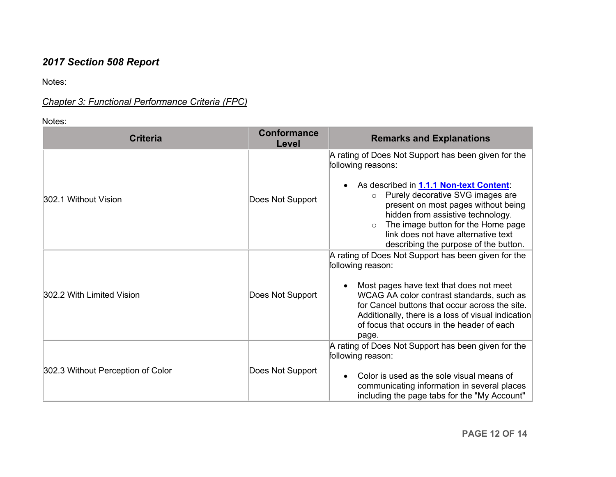# *2017 Section 508 Report*

Notes:

## *Chapter 3: Functional Performance Criteria (FPC)*

Notes:

| <b>Criteria</b>                   | <b>Conformance</b><br>Level | <b>Remarks and Explanations</b>                                                                                                                                                                                                                                                                                                                                          |
|-----------------------------------|-----------------------------|--------------------------------------------------------------------------------------------------------------------------------------------------------------------------------------------------------------------------------------------------------------------------------------------------------------------------------------------------------------------------|
| 302.1 Without Vision              | Does Not Support            | A rating of Does Not Support has been given for the<br>following reasons:<br>As described in 1.1.1 Non-text Content:<br>Purely decorative SVG images are<br>$\circ$<br>present on most pages without being<br>hidden from assistive technology.<br>The image button for the Home page<br>$\circ$<br>link does not have alternative text                                  |
| 302.2 With Limited Vision         | Does Not Support            | describing the purpose of the button.<br>A rating of Does Not Support has been given for the<br>following reason:<br>Most pages have text that does not meet<br>WCAG AA color contrast standards, such as<br>for Cancel buttons that occur across the site.<br>Additionally, there is a loss of visual indication<br>of focus that occurs in the header of each<br>page. |
| 302.3 Without Perception of Color | Does Not Support            | A rating of Does Not Support has been given for the<br>following reason:<br>Color is used as the sole visual means of<br>communicating information in several places<br>including the page tabs for the "My Account"                                                                                                                                                     |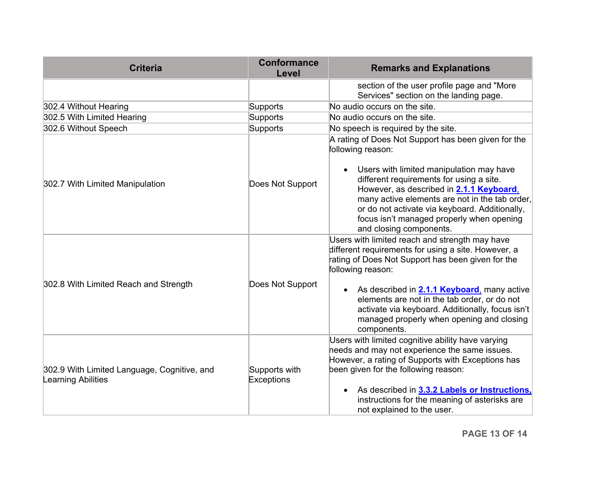| <b>Criteria</b>                                                   | <b>Conformance</b><br>Level | <b>Remarks and Explanations</b>                                                                                                                                                                                                                                                                                                                                                                          |
|-------------------------------------------------------------------|-----------------------------|----------------------------------------------------------------------------------------------------------------------------------------------------------------------------------------------------------------------------------------------------------------------------------------------------------------------------------------------------------------------------------------------------------|
|                                                                   |                             | section of the user profile page and "More<br>Services" section on the landing page.                                                                                                                                                                                                                                                                                                                     |
| 302.4 Without Hearing                                             | Supports                    | No audio occurs on the site.                                                                                                                                                                                                                                                                                                                                                                             |
| 302.5 With Limited Hearing                                        | Supports                    | No audio occurs on the site.                                                                                                                                                                                                                                                                                                                                                                             |
| 302.6 Without Speech                                              | Supports                    | No speech is required by the site.                                                                                                                                                                                                                                                                                                                                                                       |
| 302.7 With Limited Manipulation                                   | Does Not Support            | A rating of Does Not Support has been given for the<br>following reason:<br>Users with limited manipulation may have<br>different requirements for using a site.<br>However, as described in <b>2.1.1 Keyboard</b> ,<br>many active elements are not in the tab order,<br>or do not activate via keyboard. Additionally,<br>focus isn't managed properly when opening<br>and closing components.         |
| 302.8 With Limited Reach and Strength                             | Does Not Support            | Users with limited reach and strength may have<br>different requirements for using a site. However, a<br>rating of Does Not Support has been given for the<br>following reason:<br>• As described in <b>2.1.1 Keyboard</b> , many active<br>elements are not in the tab order, or do not<br>activate via keyboard. Additionally, focus isn't<br>managed properly when opening and closing<br>components. |
| 302.9 With Limited Language, Cognitive, and<br>Learning Abilities | Supports with<br>Exceptions | Users with limited cognitive ability have varying<br>heeds and may not experience the same issues.<br>However, a rating of Supports with Exceptions has<br>been given for the following reason:<br>As described in 3.3.2 Labels or Instructions,<br>instructions for the meaning of asterisks are<br>not explained to the user.                                                                          |